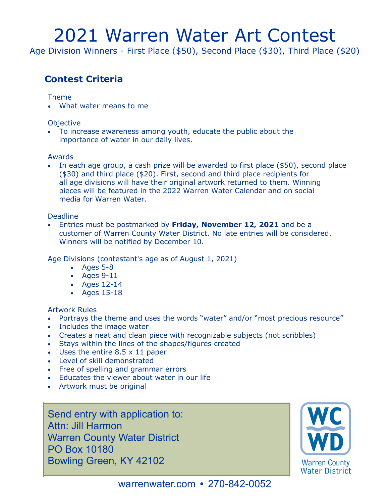# 2021 Warren Water Art Contest

Age Division Winners - First Place (\$50), Second Place (\$30), Third Place (\$20)

## **Contest Criteria**

#### Theme

• What water means to me

### **Objective**

• To increase awareness among youth, educate the public about the importance of water in our daily lives.

### Awards

• In each age group, a cash prize will be awarded to first place (\$50), second place (\$30) and third place (\$20). First, second and third place recipients for all age divisions will have their original artwork returned to them. Winning pieces will be featured in the 2022 Warren Water Calendar and on social media for Warren Water.

### **Deadline**

◦ customer of Warren County Water District. No late entries will be considered. • Entries must be postmarked by **Friday, November 12, 2021** and be a Winners will be notified by December 10.

Age Divisions (contestant's age as of August 1, 2021)

- Ages 5-8
- Ages 9-11
- Ages 12-14
- Ages 15-18

#### Artwork Rules

- Portrays the theme and uses the words "water" and/or "most precious resource"
- Includes the image water
- Creates a neat and clean piece with recognizable subjects (not scribbles)
- Stays within the lines of the shapes/figures created
- Uses the entire 8.5 x 11 paper
- Level of skill demonstrated
- Free of spelling and grammar errors
- Educates the viewer about water in our life
- Artwork must be original

Send entry with application to: Attn: Jill Harmon Warren County Water District PO Box 10180 Bowling Green, KY 42102